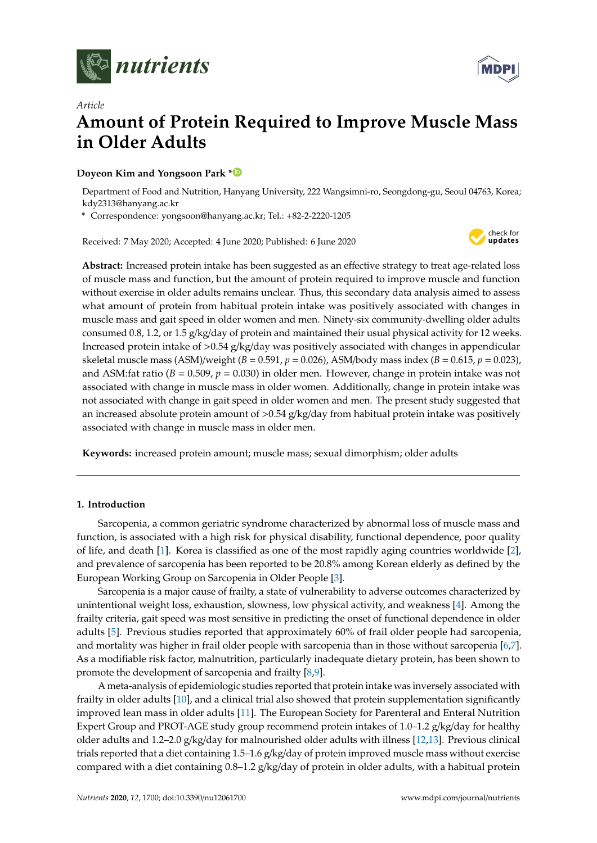

*Article*



# **Amount of Protein Required to Improve Muscle Mass in Older Adults**

## **Doyeon Kim and Yongsoon Park [\\*](https://orcid.org/0000-0001-5110-5716)**

Department of Food and Nutrition, Hanyang University, 222 Wangsimni-ro, Seongdong-gu, Seoul 04763, Korea; kdy2313@hanyang.ac.kr

**\*** Correspondence: yongsoon@hanyang.ac.kr; Tel.: +82-2-2220-1205

Received: 7 May 2020; Accepted: 4 June 2020; Published: 6 June 2020



**Abstract:** Increased protein intake has been suggested as an effective strategy to treat age-related loss of muscle mass and function, but the amount of protein required to improve muscle and function without exercise in older adults remains unclear. Thus, this secondary data analysis aimed to assess what amount of protein from habitual protein intake was positively associated with changes in muscle mass and gait speed in older women and men. Ninety-six community-dwelling older adults consumed 0.8, 1.2, or 1.5 g/kg/day of protein and maintained their usual physical activity for 12 weeks. Increased protein intake of  $>0.54$  g/kg/day was positively associated with changes in appendicular skeletal muscle mass (ASM)/weight (*B* = 0.591, *p* = 0.026), ASM/body mass index (*B* = 0.615, *p* = 0.023), and ASM:fat ratio (*B* = 0.509, *p* = 0.030) in older men. However, change in protein intake was not associated with change in muscle mass in older women. Additionally, change in protein intake was not associated with change in gait speed in older women and men. The present study suggested that an increased absolute protein amount of  $> 0.54$  g/kg/day from habitual protein intake was positively associated with change in muscle mass in older men.

**Keywords:** increased protein amount; muscle mass; sexual dimorphism; older adults

## **1. Introduction**

Sarcopenia, a common geriatric syndrome characterized by abnormal loss of muscle mass and function, is associated with a high risk for physical disability, functional dependence, poor quality of life, and death [\[1\]](#page-9-0). Korea is classified as one of the most rapidly aging countries worldwide [\[2\]](#page-9-1), and prevalence of sarcopenia has been reported to be 20.8% among Korean elderly as defined by the European Working Group on Sarcopenia in Older People [\[3\]](#page-10-0).

Sarcopenia is a major cause of frailty, a state of vulnerability to adverse outcomes characterized by unintentional weight loss, exhaustion, slowness, low physical activity, and weakness [\[4\]](#page-10-1). Among the frailty criteria, gait speed was most sensitive in predicting the onset of functional dependence in older adults [\[5\]](#page-10-2). Previous studies reported that approximately 60% of frail older people had sarcopenia, and mortality was higher in frail older people with sarcopenia than in those without sarcopenia [\[6,](#page-10-3)[7\]](#page-10-4). As a modifiable risk factor, malnutrition, particularly inadequate dietary protein, has been shown to promote the development of sarcopenia and frailty [\[8,](#page-10-5)[9\]](#page-10-6).

A meta-analysis of epidemiologic studies reported that protein intake was inversely associated with frailty in older adults [\[10\]](#page-10-7), and a clinical trial also showed that protein supplementation significantly improved lean mass in older adults [\[11\]](#page-10-8). The European Society for Parenteral and Enteral Nutrition Expert Group and PROT-AGE study group recommend protein intakes of 1.0–1.2 g/kg/day for healthy older adults and 1.2–2.0 g/kg/day for malnourished older adults with illness [\[12](#page-10-9)[,13\]](#page-10-10). Previous clinical trials reported that a diet containing 1.5–1.6 g/kg/day of protein improved muscle mass without exercise compared with a diet containing 0.8–1.2 g/kg/day of protein in older adults, with a habitual protein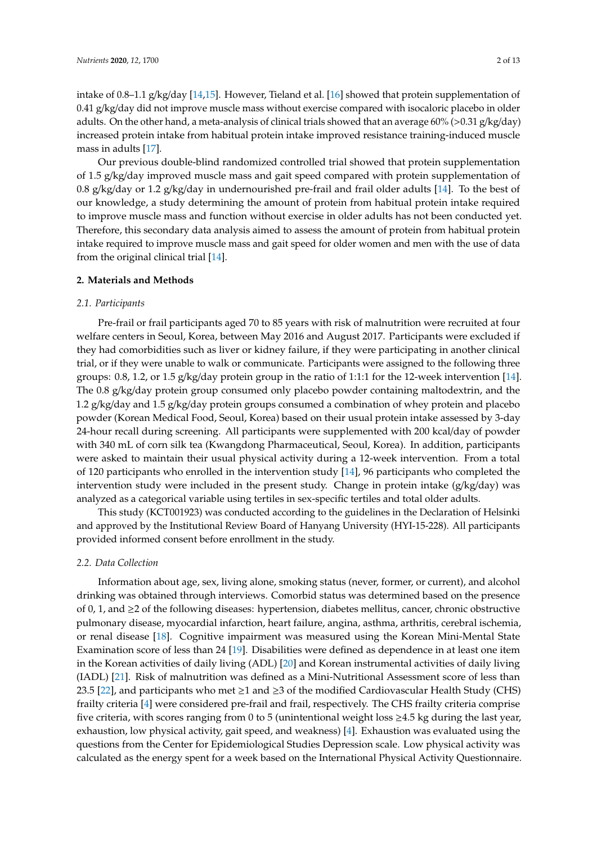intake of 0.8–1.1 g/kg/day [\[14,](#page-10-11)[15\]](#page-10-12). However, Tieland et al. [\[16\]](#page-10-13) showed that protein supplementation of 0.41 g/kg/day did not improve muscle mass without exercise compared with isocaloric placebo in older adults. On the other hand, a meta-analysis of clinical trials showed that an average 60% (>0.31 g/kg/day) increased protein intake from habitual protein intake improved resistance training-induced muscle mass in adults [\[17\]](#page-10-14).

Our previous double-blind randomized controlled trial showed that protein supplementation of 1.5 g/kg/day improved muscle mass and gait speed compared with protein supplementation of 0.8 g/kg/day or 1.2 g/kg/day in undernourished pre-frail and frail older adults [\[14\]](#page-10-11). To the best of our knowledge, a study determining the amount of protein from habitual protein intake required to improve muscle mass and function without exercise in older adults has not been conducted yet. Therefore, this secondary data analysis aimed to assess the amount of protein from habitual protein intake required to improve muscle mass and gait speed for older women and men with the use of data from the original clinical trial [\[14\]](#page-10-11).

### **2. Materials and Methods**

#### *2.1. Participants*

Pre-frail or frail participants aged 70 to 85 years with risk of malnutrition were recruited at four welfare centers in Seoul, Korea, between May 2016 and August 2017. Participants were excluded if they had comorbidities such as liver or kidney failure, if they were participating in another clinical trial, or if they were unable to walk or communicate. Participants were assigned to the following three groups: 0.8, 1.2, or 1.5 g/kg/day protein group in the ratio of 1:1:1 for the 12-week intervention [\[14\]](#page-10-11). The 0.8 g/kg/day protein group consumed only placebo powder containing maltodextrin, and the 1.2 g/kg/day and 1.5 g/kg/day protein groups consumed a combination of whey protein and placebo powder (Korean Medical Food, Seoul, Korea) based on their usual protein intake assessed by 3-day 24-hour recall during screening. All participants were supplemented with 200 kcal/day of powder with 340 mL of corn silk tea (Kwangdong Pharmaceutical, Seoul, Korea). In addition, participants were asked to maintain their usual physical activity during a 12-week intervention. From a total of 120 participants who enrolled in the intervention study [\[14\]](#page-10-11), 96 participants who completed the intervention study were included in the present study. Change in protein intake (g/kg/day) was analyzed as a categorical variable using tertiles in sex-specific tertiles and total older adults.

This study (KCT001923) was conducted according to the guidelines in the Declaration of Helsinki and approved by the Institutional Review Board of Hanyang University (HYI-15-228). All participants provided informed consent before enrollment in the study.

#### *2.2. Data Collection*

Information about age, sex, living alone, smoking status (never, former, or current), and alcohol drinking was obtained through interviews. Comorbid status was determined based on the presence of 0, 1, and ≥2 of the following diseases: hypertension, diabetes mellitus, cancer, chronic obstructive pulmonary disease, myocardial infarction, heart failure, angina, asthma, arthritis, cerebral ischemia, or renal disease [\[18\]](#page-10-15). Cognitive impairment was measured using the Korean Mini-Mental State Examination score of less than 24 [\[19\]](#page-10-16). Disabilities were defined as dependence in at least one item in the Korean activities of daily living (ADL) [\[20\]](#page-10-17) and Korean instrumental activities of daily living (IADL) [\[21\]](#page-10-18). Risk of malnutrition was defined as a Mini-Nutritional Assessment score of less than 23.5 [\[22\]](#page-10-19), and participants who met  $\geq 1$  and  $\geq 3$  of the modified Cardiovascular Health Study (CHS) frailty criteria [\[4\]](#page-10-1) were considered pre-frail and frail, respectively. The CHS frailty criteria comprise five criteria, with scores ranging from 0 to 5 (unintentional weight loss ≥4.5 kg during the last year, exhaustion, low physical activity, gait speed, and weakness) [\[4\]](#page-10-1). Exhaustion was evaluated using the questions from the Center for Epidemiological Studies Depression scale. Low physical activity was calculated as the energy spent for a week based on the International Physical Activity Questionnaire.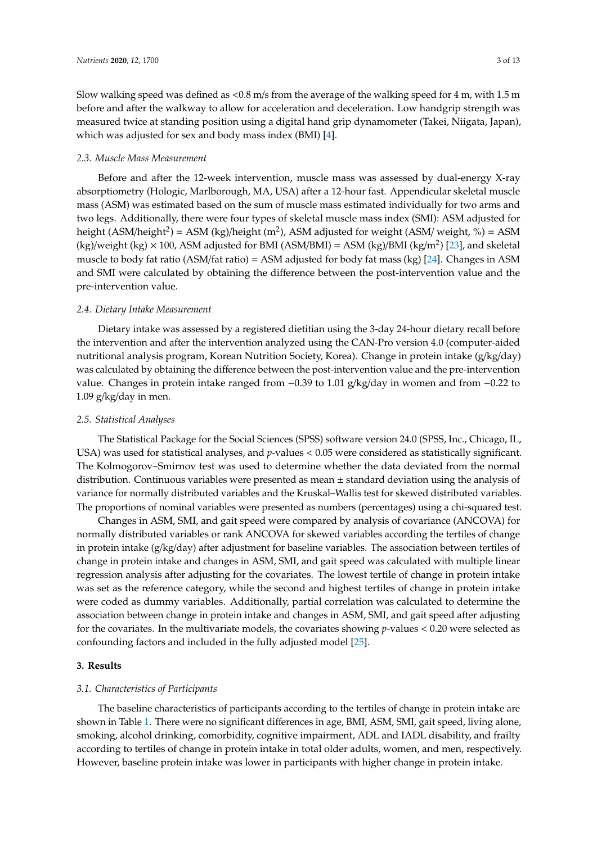Slow walking speed was defined as <0.8 m/s from the average of the walking speed for 4 m, with 1.5 m before and after the walkway to allow for acceleration and deceleration. Low handgrip strength was measured twice at standing position using a digital hand grip dynamometer (Takei, Niigata, Japan), which was adjusted for sex and body mass index (BMI) [\[4\]](#page-10-1).

## *2.3. Muscle Mass Measurement*

Before and after the 12-week intervention, muscle mass was assessed by dual-energy X-ray absorptiometry (Hologic, Marlborough, MA, USA) after a 12-hour fast. Appendicular skeletal muscle mass (ASM) was estimated based on the sum of muscle mass estimated individually for two arms and two legs. Additionally, there were four types of skeletal muscle mass index (SMI): ASM adjusted for height (ASM/height<sup>2</sup>) = ASM (kg)/height (m<sup>2</sup>), ASM adjusted for weight (ASM/ weight, %) = ASM  $(kg)/weight (kg) \times 100$ , ASM adjusted for BMI (ASM/BMI) = ASM  $(kg)/BMI (kg/m<sup>2</sup>)$  [\[23\]](#page-11-0), and skeletal muscle to body fat ratio (ASM/fat ratio) = ASM adjusted for body fat mass (kg) [\[24\]](#page-11-1). Changes in ASM and SMI were calculated by obtaining the difference between the post-intervention value and the pre-intervention value.

## *2.4. Dietary Intake Measurement*

Dietary intake was assessed by a registered dietitian using the 3-day 24-hour dietary recall before the intervention and after the intervention analyzed using the CAN-Pro version 4.0 (computer-aided nutritional analysis program, Korean Nutrition Society, Korea). Change in protein intake (g/kg/day) was calculated by obtaining the difference between the post-intervention value and the pre-intervention value. Changes in protein intake ranged from −0.39 to 1.01 g/kg/day in women and from −0.22 to 1.09 g/kg/day in men.

## *2.5. Statistical Analyses*

The Statistical Package for the Social Sciences (SPSS) software version 24.0 (SPSS, Inc., Chicago, IL, USA) was used for statistical analyses, and *p*-values < 0.05 were considered as statistically significant. The Kolmogorov–Smirnov test was used to determine whether the data deviated from the normal distribution. Continuous variables were presented as mean  $\pm$  standard deviation using the analysis of variance for normally distributed variables and the Kruskal–Wallis test for skewed distributed variables. The proportions of nominal variables were presented as numbers (percentages) using a chi-squared test.

Changes in ASM, SMI, and gait speed were compared by analysis of covariance (ANCOVA) for normally distributed variables or rank ANCOVA for skewed variables according the tertiles of change in protein intake (g/kg/day) after adjustment for baseline variables. The association between tertiles of change in protein intake and changes in ASM, SMI, and gait speed was calculated with multiple linear regression analysis after adjusting for the covariates. The lowest tertile of change in protein intake was set as the reference category, while the second and highest tertiles of change in protein intake were coded as dummy variables. Additionally, partial correlation was calculated to determine the association between change in protein intake and changes in ASM, SMI, and gait speed after adjusting for the covariates. In the multivariate models, the covariates showing *p*-values < 0.20 were selected as confounding factors and included in the fully adjusted model [\[25\]](#page-11-2).

## **3. Results**

## *3.1. Characteristics of Participants*

The baseline characteristics of participants according to the tertiles of change in protein intake are shown in Table [1.](#page-3-0) There were no significant differences in age, BMI, ASM, SMI, gait speed, living alone, smoking, alcohol drinking, comorbidity, cognitive impairment, ADL and IADL disability, and frailty according to tertiles of change in protein intake in total older adults, women, and men, respectively. However, baseline protein intake was lower in participants with higher change in protein intake.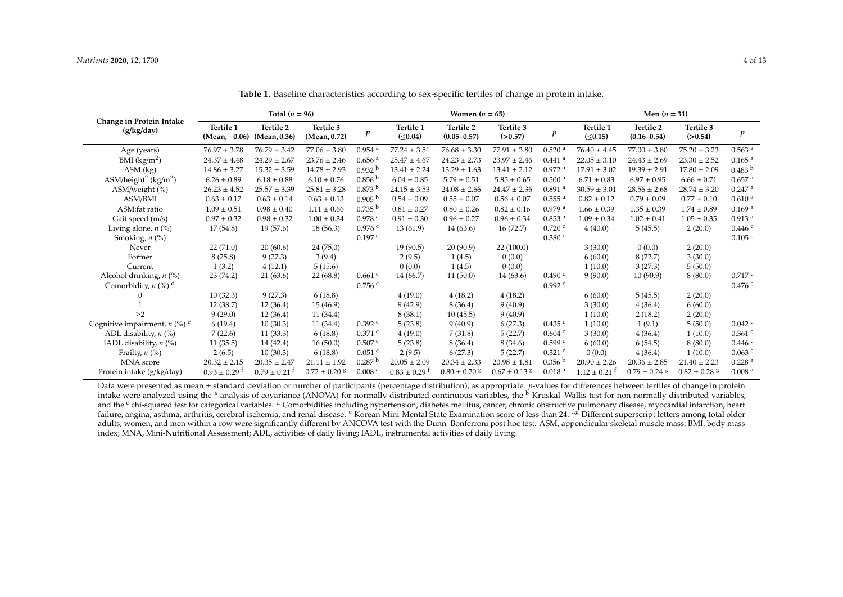|                                              |                              | Total $(n = 96)$                 |                              |                      |                              | Women $(n = 65)$             |                      |                      | Men $(n = 31)$             |                              |                              |                      |  |
|----------------------------------------------|------------------------------|----------------------------------|------------------------------|----------------------|------------------------------|------------------------------|----------------------|----------------------|----------------------------|------------------------------|------------------------------|----------------------|--|
| Change in Protein Intake<br>(g/kg/day)       | Tertile 1<br>$(Mean, -0.06)$ | <b>Tertile 2</b><br>(Mean, 0.36) | Tertile 3<br>(Mean, 0.72)    | p                    | Tertile 1<br>$( \le 0.04)$   | Tertile 2<br>$(0.05 - 0.57)$ | Tertile 3<br>(>0.57) | p                    | Tertile 1<br>$( \le 0.15)$ | Tertile 2<br>$(0.16 - 0.54)$ | Tertile 3<br>(>0.54)         |                      |  |
| Age (years)                                  | $76.97 \pm 3.78$             | $76.79 \pm 3.42$                 | $77.06 \pm 3.80$             | $0.954$ <sup>a</sup> | $77.24 \pm 3.51$             | $76.68 \pm 3.30$             | $77.91 \pm 3.80$     | $0.520$ <sup>a</sup> | $76.40 \pm 4.45$           | $77.00 \pm 3.80$             | $75.20 \pm 3.23$             | $0.563$ <sup>a</sup> |  |
| BMI $(kg/m2)$                                | $24.37 \pm 4.48$             | $24.29 \pm 2.67$                 | $23.76 \pm 2.46$             | $0.656$ <sup>a</sup> | $25.47 \pm 4.67$             | $24.23 \pm 2.73$             | $23.97 \pm 2.46$     | $0.441$ <sup>a</sup> | $22.05 \pm 3.10$           | $24.43 \pm 2.69$             | $23.30 \pm 2.52$             | 0.165 <sup>a</sup>   |  |
| $ASM$ (kg)                                   | $14.86 \pm 3.27$             | $15.32 \pm 3.59$                 | $14.78 \pm 2.93$             | 0.932 <sup>b</sup>   | $13.41 \pm 2.24$             | $13.29 \pm 1.63$             | $13.41 \pm 2.12$     | $0.972$ <sup>a</sup> | $17.91 \pm 3.02$           | $19.39 \pm 2.91$             | $17.80 \pm 2.09$             | 0.483 <sup>b</sup>   |  |
| ASM/height <sup>2</sup> (kg/m <sup>2</sup> ) | $6.26 \pm 0.89$              | $6.18 \pm 0.88$                  | $6.10 \pm 0.76$              | 0.856 <sup>b</sup>   | $6.04 \pm 0.85$              | $5.79 \pm 0.51$              | $5.85 \pm 0.65$      | 0.500 <sup>a</sup>   | $6.71 \pm 0.83$            | $6.97 \pm 0.95$              | $6.66 \pm 0.71$              | $0.657$ <sup>a</sup> |  |
| ASM/weight (%)                               | $26.23 \pm 4.52$             | $25.57 \pm 3.39$                 | $25.81 \pm 3.28$             | 0.873 <sup>b</sup>   | $24.15 \pm 3.53$             | $24.08 \pm 2.66$             | $24.47 \pm 2.36$     | $0.891$ <sup>a</sup> | $30.59 \pm 3.01$           | $28.56 \pm 2.68$             | $28.74 \pm 3.20$             | $0.247$ <sup>a</sup> |  |
| ASM/BMI                                      | $0.63 \pm 0.17$              | $0.63 \pm 0.14$                  | $0.63 \pm 0.13$              | 0.905 <sup>b</sup>   | $0.54 \pm 0.09$              | $0.55 \pm 0.07$              | $0.56 \pm 0.07$      | $0.555$ <sup>a</sup> | $0.82 \pm 0.12$            | $0.79 \pm 0.09$              | $0.77 \pm 0.10$              | 0.610 <sup>a</sup>   |  |
| ASM:fat ratio                                | $1.09 \pm 0.51$              | $0.98 \pm 0.40$                  | $1.11 \pm 0.66$              | 0.735 <sup>b</sup>   | $0.81 \pm 0.27$              | $0.80 \pm 0.26$              | $0.82 \pm 0.16$      | 0.979a               | $1.66 \pm 0.39$            | $1.35 \pm 0.39$              | $1.74 \pm 0.89$              | 0.169 <sup>a</sup>   |  |
| Gait speed (m/s)                             | $0.97 \pm 0.32$              | $0.98 \pm 0.32$                  | $1.00 \pm 0.34$              | 0.978 <sup>a</sup>   | $0.91 \pm 0.30$              | $0.96 \pm 0.27$              | $0.96 \pm 0.34$      | 0.853 <sup>a</sup>   | $1.09 \pm 0.34$            | $1.02 \pm 0.41$              | $1.05 \pm 0.35$              | 0.913 <sup>a</sup>   |  |
| Living alone, $n$ (%)                        | 17(54.8)                     | 19(57.6)                         | 18(56.3)                     | 0.976c               | 13(61.9)                     | 14(63.6)                     | 16(72.7)             | 0.720 c              | 4(40.0)                    | 5(45.5)                      | 2(20.0)                      | 0.446c               |  |
| Smoking, $n$ $(\%)$                          |                              |                                  |                              | $0.197$ <sup>c</sup> |                              |                              |                      | 0.380 c              |                            |                              |                              | $0.105$ <sup>c</sup> |  |
| Never                                        | 22(71.0)                     | 20(60.6)                         | 24(75.0)                     |                      | 19(90.5)                     | 20(90.9)                     | 22(100.0)            |                      | 3(30.0)                    | 0(0.0)                       | 2(20.0)                      |                      |  |
| Former                                       | 8(25.8)                      | 9(27.3)                          | 3(9.4)                       |                      | 2(9.5)                       | 1(4.5)                       | 0(0.0)               |                      | 6(60.0)                    | 8(72.7)                      | 3(30.0)                      |                      |  |
| Current                                      | 1(3.2)                       | 4(12.1)                          | 5(15.6)                      |                      | 0(0.0)                       | 1(4.5)                       | 0(0.0)               |                      | 1(10.0)                    | 3(27.3)                      | 5(50.0)                      |                      |  |
| Alcohol drinking, $n$ (%)                    | 23(74.2)                     | 21(63.6)                         | 22(68.8)                     | $0.661$ c            | 14 (66.7)                    | 11(50.0)                     | 14(63.6)             | 0.490 <sup>c</sup>   | 9(90.0)                    | 10(90.9)                     | 8(80.0)                      | 0.717c               |  |
| Comorbidity, $n$ (%) <sup>d</sup>            |                              |                                  |                              | 0.756c               |                              |                              |                      | 0.992c               |                            |                              |                              | 0.476c               |  |
| $^{(1)}$                                     | 10(32.3)                     | 9(27.3)                          | 6(18.8)                      |                      | 4(19.0)                      | 4(18.2)                      | 4(18.2)              |                      | 6(60.0)                    | 5(45.5)                      | 2(20.0)                      |                      |  |
|                                              | 12(38.7)                     | 12(36.4)                         | 15(46.9)                     |                      | 9(42.9)                      | 8(36.4)                      | 9(40.9)              |                      | 3(30.0)                    | 4(36.4)                      | 6(60.0)                      |                      |  |
| >2                                           | 9(29.0)                      | 12(36.4)                         | 11(34.4)                     |                      | 8(38.1)                      | 10(45.5)                     | 9(40.9)              |                      | 1(10.0)                    | 2(18.2)                      | 2(20.0)                      |                      |  |
| Cognitive impairment, $n$ (%) <sup>e</sup>   | 6(19.4)                      | 10(30.3)                         | 11(34.4)                     | $0.392$ <sup>c</sup> | 5(23.8)                      | 9(40.9)                      | 6(27.3)              | $0.435$ c            | 1(10.0)                    | 1(9.1)                       | 5(50.0)                      | $0.042$ $c$          |  |
| ADL disability, $n$ (%)                      | 7(22.6)                      | 11(33.3)                         | 6(18.8)                      | $0.371$ c            | 4(19.0)                      | 7(31.8)                      | 5(22.7)              | 0.604c               | 3(30.0)                    | 4(36.4)                      | 1(10.0)                      | $0.361$ c            |  |
| IADL disability, $n$ (%)                     | 11(35.5)                     | 14 (42.4)                        | 16(50.0)                     | $0.507$ c            | 5(23.8)                      | 8(36.4)                      | 8(34.6)              | $0.599$ c            | 6(60.0)                    | 6(54.5)                      | 8(80.0)                      | $0.446$ $c$          |  |
| Frailty, $n$ (%)                             | 2(6.5)                       | 10(30.3)                         | 6(18.8)                      | $0.051$ c            | 2(9.5)                       | 6(27.3)                      | 5(22.7)              | $0.321$ c            | 0(0.0)                     | 4(36.4)                      | 1(10.0)                      | $0.063$ c            |  |
| MNA score                                    | $20.32 \pm 2.15$             | $20.35 \pm 2.47$                 | $21.11 \pm 1.92$             | 0.287 <sup>b</sup>   | $20.05 \pm 2.09$             | $20.34 \pm 2.33$             | $20.98 \pm 1.81$     | 0.356 <sup>b</sup>   | $20.90 \pm 2.26$           | $20.36 \pm 2.85$             | $21.40 \pm 2.23$             | 0.228 <sup>a</sup>   |  |
| Protein intake (g/kg/day)                    | $0.93 \pm 0.29$ <sup>t</sup> | $0.79 \pm 0.21$ <sup>t</sup>     | $0.72 \pm 0.20$ <sup>g</sup> | 0.008 <sup>a</sup>   | $0.83 \pm 0.29$ <sup>t</sup> | $0.80 \pm 0.20$ g            | $0.67 \pm 0.13$ g    | 0.018 <sup>a</sup>   | $1.12 \pm 0.21$            | $0.79 \pm 0.24$ <sup>g</sup> | $0.82 \pm 0.28$ <sup>g</sup> | 0.008 <sup>a</sup>   |  |

**Table 1.** Baseline characteristics according to sex-specific tertiles of change in protein intake.

<span id="page-3-0"></span>Data were presented as mean ± standard deviation or number of participants (percentage distribution), as appropriate. *p*-values for differences between tertiles of change in protein intake were analyzed using the <sup>a</sup> analysis of covariance (ANOVA) for normally distributed continuous variables, the <sup>b'</sup> Kruskal–Wallis test for non-normally distributed variables, and the <sup>c</sup> chi-squared test for categorical variables. <sup>d</sup> Comorbidities including hypertension, diabetes mellitus, cancer, chronic obstructive pulmonary disease, myocardial infarction, heart failure, angina, asthma, arthritis, cerebral ischemia, and renal disease. <sup>e</sup> Korean Mini-Mental State Examination score of less than 24. <sup>f,g</sup> Different superscript letters among total older adults, women, and men within a row were significantly different by ANCOVA test with the Dunn-Bonferroni post hoc test. ASM, appendicular skeletal muscle mass; BMI, body mass index; MNA, Mini-Nutritional Assessment; ADL, activities of daily living; IADL, instrumental activities of daily living.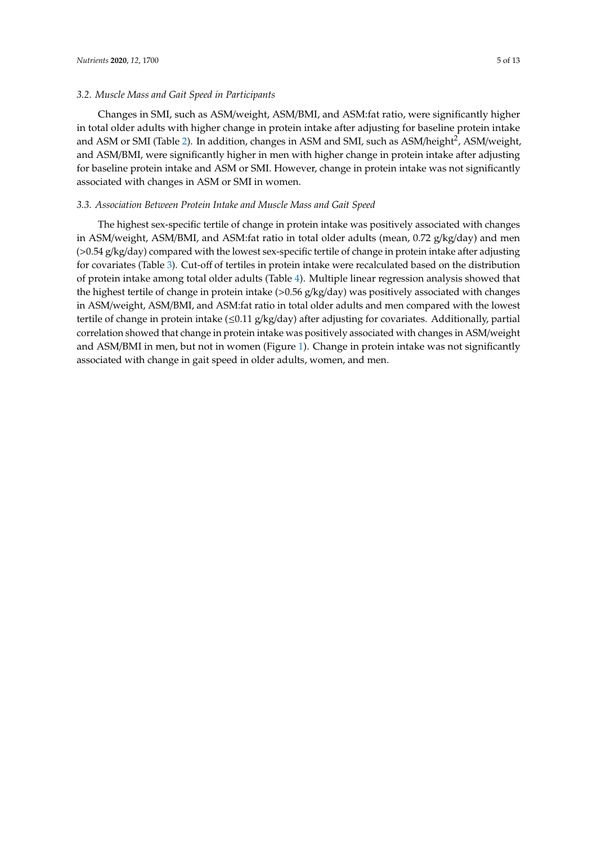## *3.2. Muscle Mass and Gait Speed in Participants*

Changes in SMI, such as ASM/weight, ASM/BMI, and ASM:fat ratio, were significantly higher in total older adults with higher change in protein intake after adjusting for baseline protein intake and ASM or SMI (Table [2\)](#page-5-0). In addition, changes in ASM and SMI, such as ASM/height<sup>2</sup>, ASM/weight, and ASM/BMI, were significantly higher in men with higher change in protein intake after adjusting for baseline protein intake and ASM or SMI. However, change in protein intake was not significantly associated with changes in ASM or SMI in women.

#### *3.3. Association Between Protein Intake and Muscle Mass and Gait Speed*

The highest sex-specific tertile of change in protein intake was positively associated with changes in ASM/weight, ASM/BMI, and ASM:fat ratio in total older adults (mean, 0.72 g/kg/day) and men (>0.54 g/kg/day) compared with the lowest sex-specific tertile of change in protein intake after adjusting for covariates (Table [3\)](#page-5-1). Cut-off of tertiles in protein intake were recalculated based on the distribution of protein intake among total older adults (Table [4\)](#page-6-0). Multiple linear regression analysis showed that the highest tertile of change in protein intake (>0.56 g/kg/day) was positively associated with changes in ASM/weight, ASM/BMI, and ASM:fat ratio in total older adults and men compared with the lowest tertile of change in protein intake ( $\leq 0.11$  g/kg/day) after adjusting for covariates. Additionally, partial correlation showed that change in protein intake was positively associated with changes in ASM/weight and ASM/BMI in men, but not in women (Figure [1\)](#page-7-0). Change in protein intake was not significantly associated with change in gait speed in older adults, women, and men.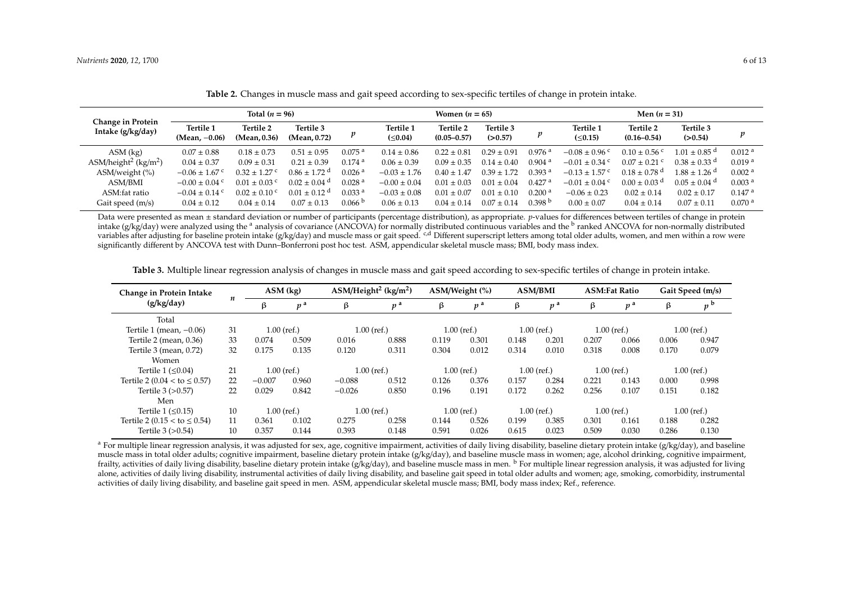|                                              |                               | Total $(n = 96)$          |                              |                      |                                   | Women $(n = 65)$             |                      |                      | Men $(n = 31)$                |                              |                              |                      |  |
|----------------------------------------------|-------------------------------|---------------------------|------------------------------|----------------------|-----------------------------------|------------------------------|----------------------|----------------------|-------------------------------|------------------------------|------------------------------|----------------------|--|
| Change in Protein<br>Intake (g/kg/day)       | Tertile 1<br>(Mean, $-0.06$ ) | Tertile 2<br>(Mean, 0.36) | Tertile 3<br>(Mean, 0.72)    |                      | <b>Tertile 1</b><br>$(\leq 0.04)$ | Tertile 2<br>$(0.05 - 0.57)$ | Tertile 3<br>(>0.57) | p                    | Tertile 1<br>$( \le 0.15)$    | Tertile 2<br>$(0.16 - 0.54)$ | Tertile 3<br>(>0.54)         | $\boldsymbol{p}$     |  |
| $ASM$ (kg)                                   | $0.07 \pm 0.88$               | $0.18 \pm 0.73$           | $0.51 \pm 0.95$              | $0.075$ <sup>a</sup> | $0.14 \pm 0.86$                   | $0.22 \pm 0.81$              | $0.29 \pm 0.91$      | $0.976$ <sup>a</sup> | $-0.08 \pm 0.96$              | $0.10 \pm 0.56$ c            | $1.01 \pm 0.85$ <sup>d</sup> | 0.012 <sup>a</sup>   |  |
| ASM/height <sup>2</sup> (kg/m <sup>2</sup> ) | $0.04 \pm 0.37$               | $0.09 \pm 0.31$           | $0.21 \pm 0.39$              | $0.174$ <sup>a</sup> | $0.06 \pm 0.39$                   | $0.09 \pm 0.35$              | $0.14 \pm 0.40$      | $0.904$ <sup>a</sup> | $-0.01 \pm 0.34$              | $0.07 \pm 0.21$ c            | $0.38 \pm 0.33$ d            | 0.019 <sup>a</sup>   |  |
| $ASM/weight$ (%)                             | $-0.06 \pm 1.67$ c            | $0.32 \pm 1.27$ c         | $0.86 \pm 1.72$ <sup>d</sup> | $0.026$ <sup>a</sup> | $-0.03 \pm 1.76$                  | $0.40 \pm 1.47$              | $0.39 \pm 1.72$      | $0.393$ <sup>a</sup> | $-0.13 \pm 1.57$ <sup>c</sup> | $0.18 \pm 0.78$ <sup>d</sup> | $1.88 \pm 1.26$ <sup>d</sup> | 0.002 <sup>a</sup>   |  |
| ASM/BMI                                      | $-0.00 \pm 0.04$ <sup>c</sup> | $0.01 \pm 0.03$ c         | $0.02 \pm 0.04$ d            | 0.028 <sup>a</sup>   | $-0.00 \pm 0.04$                  | $0.01 \pm 0.03$              | $0.01 \pm 0.04$      | $0.427$ <sup>a</sup> | $-0.01 \pm 0.04$ <sup>c</sup> | $0.00 \pm 0.03$ <sup>d</sup> | $0.05 \pm 0.04$ d            | 0.003 <sup>a</sup>   |  |
| ASM:fat ratio                                | $-0.04 \pm 0.14$ °            | $0.02 \pm 0.10$ °         | $0.01 \pm 0.12$ <sup>d</sup> | 0.033 <sup>a</sup>   | $-0.03 \pm 0.08$                  | $0.01 \pm 0.07$              | $0.01 \pm 0.10$      | $0.200$ <sup>a</sup> | $-0.06 \pm 0.23$              | $0.02 \pm 0.14$              | $0.02 \pm 0.17$              | $0.147$ <sup>a</sup> |  |
| Gait speed (m/s)                             | $0.04 \pm 0.12$               | $0.04 \pm 0.14$           | $0.07 \pm 0.13$              | 0.066 <sup>b</sup>   | $0.06 \pm 0.13$                   | $0.04 \pm 0.14$              | $0.07 \pm 0.14$      | 0.398 <sup>b</sup>   | $0.00 \pm 0.07$               | $0.04 \pm 0.14$              | $0.07 \pm 0.11$              | $0.070$ <sup>a</sup> |  |

**Table 2.** Changes in muscle mass and gait speed according to sex-specific tertiles of change in protein intake.

Data were presented as mean ± standard deviation or number of participants (percentage distribution), as appropriate. *p*-values for differences between tertiles of change in protein intake (g/kg/day) were analyzed using the <sup>a</sup> analysis of covariance (ANCOVA) for normally distributed continuous variables and the <sup>b</sup> ranked ANCOVA for non-normally distributed variables after adjusting for baseline protein intake (g/kg/day) and muscle mass or gait speed. <sup>c,d</sup> Different superscript letters among total older adults, women, and men within a row were significantly different by ANCOVA test with Dunn–Bonferroni post hoc test. ASM, appendicular skeletal muscle mass; BMI, body mass index.

<span id="page-5-0"></span>

| Change in Protein Intake<br>(g/kg/day) |    | ASM (kg)      |                | $\text{ASM/Height}^2$ (kg/m <sup>2</sup> ) |       | ASM/Weight (%) |               | <b>ASM/BMI</b> |                | <b>ASM:Fat Ratio</b> |                | Gait Speed (m/s) |                |
|----------------------------------------|----|---------------|----------------|--------------------------------------------|-------|----------------|---------------|----------------|----------------|----------------------|----------------|------------------|----------------|
|                                        | n  | β             | n <sup>a</sup> | β                                          | $p^a$ | β              | $p^a$         | ß              | p <sup>a</sup> | β                    | p <sup>a</sup> | β                | p <sup>b</sup> |
| Total                                  |    |               |                |                                            |       |                |               |                |                |                      |                |                  |                |
| Tertile $1$ (mean, $-0.06$ )           | 31 | $1.00$ (ref.) |                | $1.00$ (ref.)                              |       | $1.00$ (ref.)  |               | $1.00$ (ref.)  |                | $1.00$ (ref.)        |                | $1.00$ (ref.)    |                |
| Tertile 2 (mean, 0.36)                 | 33 | 0.074         | 0.509          | 0.016                                      | 0.888 | 0.119          | 0.301         | 0.148          | 0.201          | 0.207                | 0.066          | 0.006            | 0.947          |
| Tertile $3$ (mean, $0.72$ )            | 32 | 0.175         | 0.135          | 0.120                                      | 0.311 | 0.304          | 0.012         | 0.314          | 0.010          | 0.318                | 0.008          | 0.170            | 0.079          |
| Women                                  |    |               |                |                                            |       |                |               |                |                |                      |                |                  |                |
| Tertile $1 \leq 0.04$                  | 21 | $1.00$ (ref.) |                | $1.00$ (ref.)                              |       |                | $1.00$ (ref.) |                | $1.00$ (ref.)  | $1.00$ (ref.)        |                | $1.00$ (ref.)    |                |
| Tertile 2 (0.04 < to $\leq$ 0.57)      | 22 | $-0.007$      | 0.960          | $-0.088$                                   | 0.512 | 0.126          | 0.376         | 0.157          | 0.284          | 0.221                | 0.143          | 0.000            | 0.998          |
| Tertile $3 (>0.57)$                    | 22 | 0.029         | 0.842          | $-0.026$                                   | 0.850 | 0.196          | 0.191         | 0.172          | 0.262          | 0.256                | 0.107          | 0.151            | 0.182          |
| Men                                    |    |               |                |                                            |       |                |               |                |                |                      |                |                  |                |
| Tertile $1 \leq 0.15$                  | 10 | $1.00$ (ref.) |                | $1.00$ (ref.)                              |       | $1.00$ (ref.)  |               | $1.00$ (ref.)  |                | $1.00$ (ref.)        |                | $1.00$ (ref.)    |                |
| Tertile 2 (0.15 < to $\leq$ 0.54)      | 11 | 0.361         | 0.102          | 0.275                                      | 0.258 | 0.144          | 0.526         | 0.199          | 0.385          | 0.301                | 0.161          | 0.188            | 0.282          |
| Tertile $3 (> 0.54)$                   | 10 | 0.357         | 0.144          | 0.393                                      | 0.148 | 0.591          | 0.026         | 0.615          | 0.023          | 0.509                | 0.030          | 0.286            | 0.130          |

**Table 3.** Multiple linear regression analysis of changes in muscle mass and gait speed according to sex-specific tertiles of change in protein intake.

<span id="page-5-1"></span><sup>a</sup> For multiple linear regression analysis, it was adjusted for sex, age, cognitive impairment, activities of daily living disability, baseline dietary protein intake (g/kg/day), and baseline muscle mass in total older adults; cognitive impairment, baseline dietary protein intake (g/kg/day), and baseline muscle mass in women; age, alcohol drinking, cognitive impairment, frailty, activities of daily living disability, baseline dietary protein intake (g/kg/day), and baseline muscle mass in men. <sup>b</sup> For multiple linear regression analysis, it was adjusted for living alone, activities of daily living disability, instrumental activities of daily living disability, and baseline gait speed in total older adults and women; age, smoking, comorbidity, instrumental activities of daily living disability, and baseline gait speed in men. ASM, appendicular skeletal muscle mass; BMI, body mass index; Ref., reference.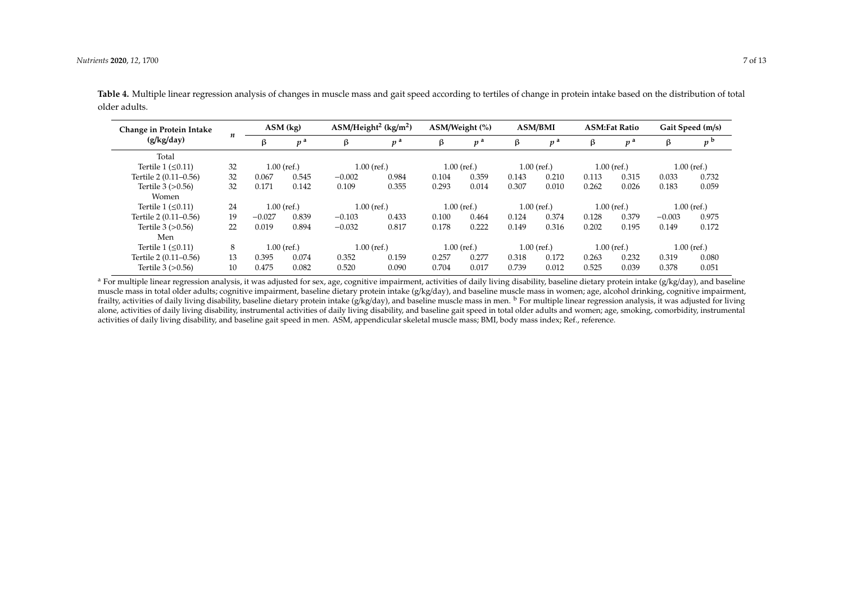| Change in Protein Intake<br>(g/kg/day) |    | $ASM$ (kg)    |                | $ASM/Height2 (kg/m2)$ |                | ASM/Weight (%) |                | <b>ASM/BMI</b> |                | <b>ASM:Fat Ratio</b> |                | Gait Speed (m/s) |       |
|----------------------------------------|----|---------------|----------------|-----------------------|----------------|----------------|----------------|----------------|----------------|----------------------|----------------|------------------|-------|
|                                        | n  | ß             | p <sup>a</sup> | β                     | p <sup>a</sup> | β              | p <sup>a</sup> | β              | p <sup>a</sup> | β                    | p <sup>a</sup> | β                | p     |
| Total                                  |    |               |                |                       |                |                |                |                |                |                      |                |                  |       |
| Tertile $1 \leq 0.11$                  | 32 | $1.00$ (ref.) |                | $1.00$ (ref.)         |                | $1.00$ (ref.)  |                | $1.00$ (ref.)  |                | $1.00$ (ref.)        |                | $1.00$ (ref.)    |       |
| Tertile 2 (0.11-0.56)                  | 32 | 0.067         | 0.545          | $-0.002$              | 0.984          | 0.104          | 0.359          | 0.143          | 0.210          | 0.113                | 0.315          | 0.033            | 0.732 |
| Tertile $3 (>0.56)$<br>Women           | 32 | 0.171         | 0.142          | 0.109                 | 0.355          | 0.293          | 0.014          | 0.307          | 0.010          | 0.262                | 0.026          | 0.183            | 0.059 |
| Tertile $1 \leq 0.11$                  | 24 | $1.00$ (ref.) |                | $1.00$ (ref.)         |                | $1.00$ (ref.)  |                |                | $1.00$ (ref.)  | $1.00$ (ref.)        |                | $1.00$ (ref.)    |       |
| Tertile 2 (0.11–0.56)                  | 19 | $-0.027$      | 0.839          | $-0.103$              | 0.433          | 0.100          | 0.464          | 0.124          | 0.374          | 0.128                | 0.379          | $-0.003$         | 0.975 |
| Tertile $3 (>0.56)$                    | 22 | 0.019         | 0.894          | $-0.032$              | 0.817          | 0.178          | 0.222          | 0.149          | 0.316          | 0.202                | 0.195          | 0.149            | 0.172 |
| Men                                    |    |               |                |                       |                |                |                |                |                |                      |                |                  |       |
| Tertile $1 \leq 0.11$                  | 8  | $1.00$ (ref.) |                | $1.00$ (ref.)         |                | $1.00$ (ref.)  |                | $1.00$ (ref.)  |                | $1.00$ (ref.)        |                | $1.00$ (ref.)    |       |
| Tertile 2 (0.11-0.56)                  | 13 | 0.395         | 0.074          | 0.352                 | 0.159          | 0.257          | 0.277          | 0.318          | 0.172          | 0.263                | 0.232          | 0.319            | 0.080 |
| Tertile $3 (>0.56)$                    | 10 | 0.475         | 0.082          | 0.520                 | 0.090          | 0.704          | 0.017          | 0.739          | 0.012          | 0.525                | 0.039          | 0.378            | 0.051 |

**Table 4.** Multiple linear regression analysis of changes in muscle mass and gait speed according to tertiles of change in protein intake based on the distribution of total older adults.

<span id="page-6-0"></span><sup>a</sup> For multiple linear regression analysis, it was adjusted for sex, age, cognitive impairment, activities of daily living disability, baseline dietary protein intake (g/kg/day), and baseline muscle mass in total older adults; cognitive impairment, baseline dietary protein intake (g/kg/day), and baseline muscle mass in women; age, alcohol drinking, cognitive impairment, frailty, activities of daily living disability, baseline dietary protein intake  $(g/kg/day)$ , and baseline muscle mass in men.  $\frac{b}{b}$  For multiple linear regression analysis, it was adjusted for living alone, activities of daily living disability, instrumental activities of daily living disability, and baseline gait speed in total older adults and women; age, smoking, comorbidity, instrumental activities of daily living disability, and baseline gait speed in men. ASM, appendicular skeletal muscle mass; BMI, body mass index; Ref., reference.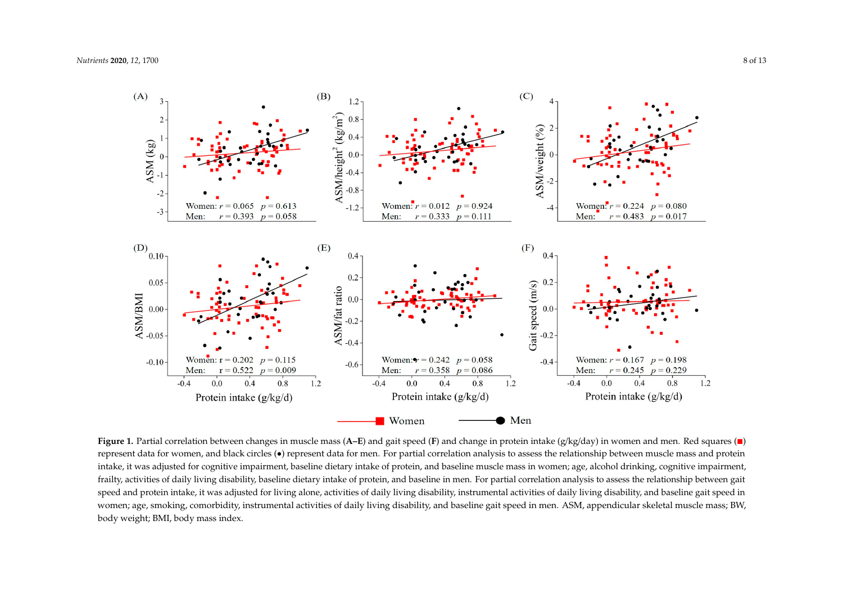

<span id="page-7-0"></span>represent data for women, and black circles (•) represent data for men. For partial correlation analysis to assess the relationship between muscle mass and protein intake, it was adjusted for cognitive impairment, baseline dietary intake of protein, and baseline muscle mass in women; age, alcohol drinking, cognitive impairment, frailty, activities of daily living disability, baseline dietary intake of protein, and baseline in men. For partial correlation analysis to assess the relationship between gait speed and protein intake, it was adjusted for living alone, activities of daily living disability, instrumental activities of daily living disability, and baseline gait speed in women; age, smoking, comorbidity, instrumental activities of daily living disability, and baseline gait speed in men. ASM, appendicular skeletal muscle mass; BW, body weight; BMI, body mass index. **Figure 1.** Partial correlation between changes in muscle mass (A–E) and gait speed (F) and change in protein intake (g/kg/day) in women and men. Red squares (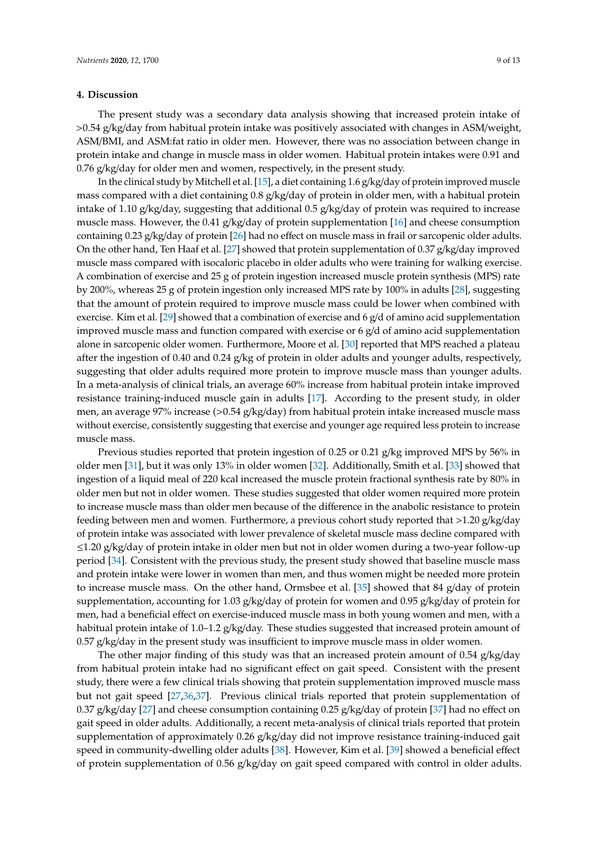#### **4. Discussion**

The present study was a secondary data analysis showing that increased protein intake of >0.54 g/kg/day from habitual protein intake was positively associated with changes in ASM/weight, ASM/BMI, and ASM:fat ratio in older men. However, there was no association between change in protein intake and change in muscle mass in older women. Habitual protein intakes were 0.91 and 0.76 g/kg/day for older men and women, respectively, in the present study.

In the clinical study by Mitchell et al. [\[15\]](#page-10-12), a diet containing 1.6 g/kg/day of protein improved muscle mass compared with a diet containing 0.8 g/kg/day of protein in older men, with a habitual protein intake of 1.10 g/kg/day, suggesting that additional 0.5 g/kg/day of protein was required to increase muscle mass. However, the 0.41 g/kg/day of protein supplementation [\[16\]](#page-10-13) and cheese consumption containing 0.23 g/kg/day of protein [\[26\]](#page-11-3) had no effect on muscle mass in frail or sarcopenic older adults. On the other hand, Ten Haaf et al. [\[27\]](#page-11-4) showed that protein supplementation of 0.37 g/kg/day improved muscle mass compared with isocaloric placebo in older adults who were training for walking exercise. A combination of exercise and 25 g of protein ingestion increased muscle protein synthesis (MPS) rate by 200%, whereas 25 g of protein ingestion only increased MPS rate by 100% in adults [\[28\]](#page-11-5), suggesting that the amount of protein required to improve muscle mass could be lower when combined with exercise. Kim et al. [\[29\]](#page-11-6) showed that a combination of exercise and 6  $g/d$  of amino acid supplementation improved muscle mass and function compared with exercise or 6 g/d of amino acid supplementation alone in sarcopenic older women. Furthermore, Moore et al. [\[30\]](#page-11-7) reported that MPS reached a plateau after the ingestion of 0.40 and 0.24 g/kg of protein in older adults and younger adults, respectively, suggesting that older adults required more protein to improve muscle mass than younger adults. In a meta-analysis of clinical trials, an average 60% increase from habitual protein intake improved resistance training-induced muscle gain in adults [\[17\]](#page-10-14). According to the present study, in older men, an average 97% increase (>0.54 g/kg/day) from habitual protein intake increased muscle mass without exercise, consistently suggesting that exercise and younger age required less protein to increase muscle mass.

Previous studies reported that protein ingestion of 0.25 or 0.21 g/kg improved MPS by 56% in older men [\[31\]](#page-11-8), but it was only 13% in older women [\[32\]](#page-11-9). Additionally, Smith et al. [\[33\]](#page-11-10) showed that ingestion of a liquid meal of 220 kcal increased the muscle protein fractional synthesis rate by 80% in older men but not in older women. These studies suggested that older women required more protein to increase muscle mass than older men because of the difference in the anabolic resistance to protein feeding between men and women. Furthermore, a previous cohort study reported that >1.20 g/kg/day of protein intake was associated with lower prevalence of skeletal muscle mass decline compared with ≤1.20 g/kg/day of protein intake in older men but not in older women during a two-year follow-up period [\[34\]](#page-11-11). Consistent with the previous study, the present study showed that baseline muscle mass and protein intake were lower in women than men, and thus women might be needed more protein to increase muscle mass. On the other hand, Ormsbee et al. [\[35\]](#page-11-12) showed that 84 g/day of protein supplementation, accounting for 1.03 g/kg/day of protein for women and 0.95 g/kg/day of protein for men, had a beneficial effect on exercise-induced muscle mass in both young women and men, with a habitual protein intake of 1.0–1.2 g/kg/day. These studies suggested that increased protein amount of  $0.57$  g/kg/day in the present study was insufficient to improve muscle mass in older women.

The other major finding of this study was that an increased protein amount of 0.54 g/kg/day from habitual protein intake had no significant effect on gait speed. Consistent with the present study, there were a few clinical trials showing that protein supplementation improved muscle mass but not gait speed [\[27](#page-11-4)[,36](#page-11-13)[,37\]](#page-11-14). Previous clinical trials reported that protein supplementation of 0.37 g/kg/day [\[27\]](#page-11-4) and cheese consumption containing 0.25 g/kg/day of protein [\[37\]](#page-11-14) had no effect on gait speed in older adults. Additionally, a recent meta-analysis of clinical trials reported that protein supplementation of approximately 0.26 g/kg/day did not improve resistance training-induced gait speed in community-dwelling older adults [\[38\]](#page-11-15). However, Kim et al. [\[39\]](#page-12-0) showed a beneficial effect of protein supplementation of 0.56 g/kg/day on gait speed compared with control in older adults.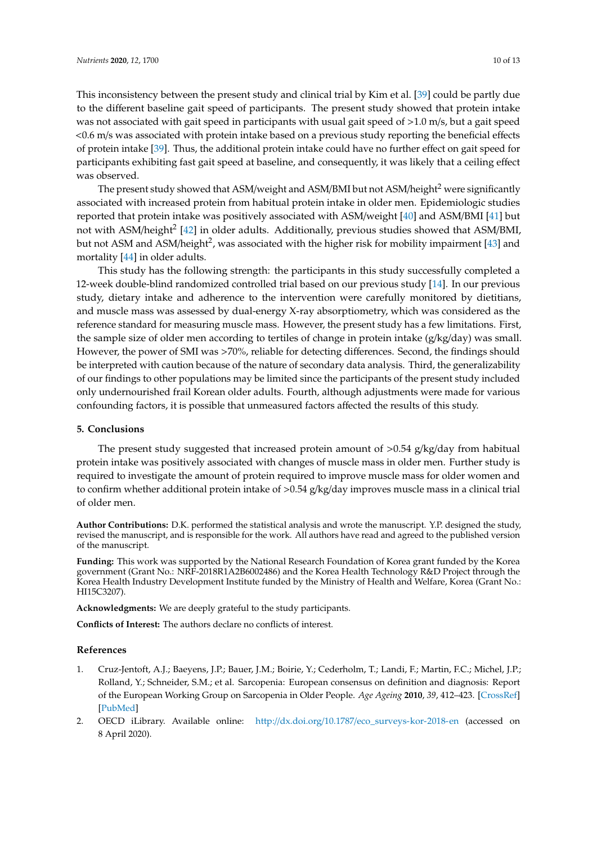This inconsistency between the present study and clinical trial by Kim et al. [\[39\]](#page-12-0) could be partly due to the different baseline gait speed of participants. The present study showed that protein intake was not associated with gait speed in participants with usual gait speed of >1.0 m/s, but a gait speed <0.6 m/s was associated with protein intake based on a previous study reporting the beneficial effects of protein intake [\[39\]](#page-12-0). Thus, the additional protein intake could have no further effect on gait speed for participants exhibiting fast gait speed at baseline, and consequently, it was likely that a ceiling effect was observed.

The present study showed that ASM/weight and ASM/BMI but not ASM/height<sup>2</sup> were significantly associated with increased protein from habitual protein intake in older men. Epidemiologic studies reported that protein intake was positively associated with ASM/weight [\[40\]](#page-12-1) and ASM/BMI [\[41\]](#page-12-2) but not with ASM/height<sup>2</sup> [\[42\]](#page-12-3) in older adults. Additionally, previous studies showed that ASM/BMI, but not ASM and ASM/height<sup>2</sup>, was associated with the higher risk for mobility impairment [\[43\]](#page-12-4) and mortality [\[44\]](#page-12-5) in older adults.

This study has the following strength: the participants in this study successfully completed a 12-week double-blind randomized controlled trial based on our previous study [\[14\]](#page-10-11). In our previous study, dietary intake and adherence to the intervention were carefully monitored by dietitians, and muscle mass was assessed by dual-energy X-ray absorptiometry, which was considered as the reference standard for measuring muscle mass. However, the present study has a few limitations. First, the sample size of older men according to tertiles of change in protein intake (g/kg/day) was small. However, the power of SMI was >70%, reliable for detecting differences. Second, the findings should be interpreted with caution because of the nature of secondary data analysis. Third, the generalizability of our findings to other populations may be limited since the participants of the present study included only undernourished frail Korean older adults. Fourth, although adjustments were made for various confounding factors, it is possible that unmeasured factors affected the results of this study.

## **5. Conclusions**

The present study suggested that increased protein amount of  $>0.54$  g/kg/day from habitual protein intake was positively associated with changes of muscle mass in older men. Further study is required to investigate the amount of protein required to improve muscle mass for older women and to confirm whether additional protein intake of >0.54 g/kg/day improves muscle mass in a clinical trial of older men.

**Author Contributions:** D.K. performed the statistical analysis and wrote the manuscript. Y.P. designed the study, revised the manuscript, and is responsible for the work. All authors have read and agreed to the published version of the manuscript.

**Funding:** This work was supported by the National Research Foundation of Korea grant funded by the Korea government (Grant No.: NRF-2018R1A2B6002486) and the Korea Health Technology R&D Project through the Korea Health Industry Development Institute funded by the Ministry of Health and Welfare, Korea (Grant No.: HI15C3207).

**Acknowledgments:** We are deeply grateful to the study participants.

**Conflicts of Interest:** The authors declare no conflicts of interest.

## **References**

- <span id="page-9-0"></span>1. Cruz-Jentoft, A.J.; Baeyens, J.P.; Bauer, J.M.; Boirie, Y.; Cederholm, T.; Landi, F.; Martin, F.C.; Michel, J.P.; Rolland, Y.; Schneider, S.M.; et al. Sarcopenia: European consensus on definition and diagnosis: Report of the European Working Group on Sarcopenia in Older People. *Age Ageing* **2010**, *39*, 412–423. [\[CrossRef\]](http://dx.doi.org/10.1093/ageing/afq034) [\[PubMed\]](http://www.ncbi.nlm.nih.gov/pubmed/20392703)
- <span id="page-9-1"></span>2. OECD iLibrary. Available online: http://dx.doi.org/10.1787/[eco\\_surveys-kor-2018-en](http://dx.doi.org/10.1787/eco_surveys-kor-2018-en) (accessed on 8 April 2020).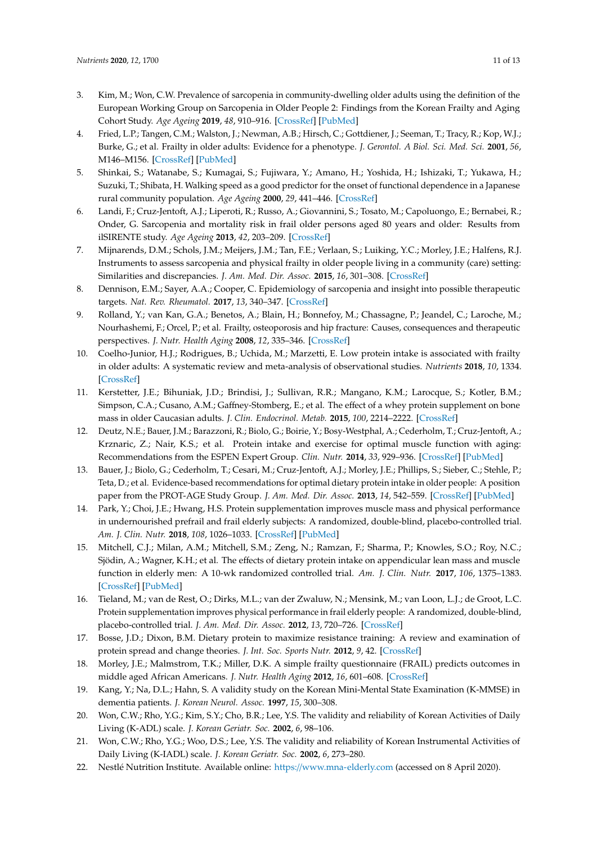- <span id="page-10-0"></span>3. Kim, M.; Won, C.W. Prevalence of sarcopenia in community-dwelling older adults using the definition of the European Working Group on Sarcopenia in Older People 2: Findings from the Korean Frailty and Aging Cohort Study. *Age Ageing* **2019**, *48*, 910–916. [\[CrossRef\]](http://dx.doi.org/10.1093/ageing/afz091) [\[PubMed\]](http://www.ncbi.nlm.nih.gov/pubmed/31329815)
- <span id="page-10-1"></span>4. Fried, L.P.; Tangen, C.M.; Walston, J.; Newman, A.B.; Hirsch, C.; Gottdiener, J.; Seeman, T.; Tracy, R.; Kop, W.J.; Burke, G.; et al. Frailty in older adults: Evidence for a phenotype. *J. Gerontol. A Biol. Sci. Med. Sci.* **2001**, *56*, M146–M156. [\[CrossRef\]](http://dx.doi.org/10.1093/gerona/56.3.M146) [\[PubMed\]](http://www.ncbi.nlm.nih.gov/pubmed/11253156)
- <span id="page-10-2"></span>5. Shinkai, S.; Watanabe, S.; Kumagai, S.; Fujiwara, Y.; Amano, H.; Yoshida, H.; Ishizaki, T.; Yukawa, H.; Suzuki, T.; Shibata, H. Walking speed as a good predictor for the onset of functional dependence in a Japanese rural community population. *Age Ageing* **2000**, *29*, 441–446. [\[CrossRef\]](http://dx.doi.org/10.1093/ageing/29.5.441)
- <span id="page-10-3"></span>6. Landi, F.; Cruz-Jentoft, A.J.; Liperoti, R.; Russo, A.; Giovannini, S.; Tosato, M.; Capoluongo, E.; Bernabei, R.; Onder, G. Sarcopenia and mortality risk in frail older persons aged 80 years and older: Results from ilSIRENTE study. *Age Ageing* **2013**, *42*, 203–209. [\[CrossRef\]](http://dx.doi.org/10.1093/ageing/afs194)
- <span id="page-10-4"></span>7. Mijnarends, D.M.; Schols, J.M.; Meijers, J.M.; Tan, F.E.; Verlaan, S.; Luiking, Y.C.; Morley, J.E.; Halfens, R.J. Instruments to assess sarcopenia and physical frailty in older people living in a community (care) setting: Similarities and discrepancies. *J. Am. Med. Dir. Assoc.* **2015**, *16*, 301–308. [\[CrossRef\]](http://dx.doi.org/10.1016/j.jamda.2014.11.011)
- <span id="page-10-5"></span>8. Dennison, E.M.; Sayer, A.A.; Cooper, C. Epidemiology of sarcopenia and insight into possible therapeutic targets. *Nat. Rev. Rheumatol.* **2017**, *13*, 340–347. [\[CrossRef\]](http://dx.doi.org/10.1038/nrrheum.2017.60)
- <span id="page-10-6"></span>9. Rolland, Y.; van Kan, G.A.; Benetos, A.; Blain, H.; Bonnefoy, M.; Chassagne, P.; Jeandel, C.; Laroche, M.; Nourhashemi, F.; Orcel, P.; et al. Frailty, osteoporosis and hip fracture: Causes, consequences and therapeutic perspectives. *J. Nutr. Health Aging* **2008**, *12*, 335–346. [\[CrossRef\]](http://dx.doi.org/10.1007/BF02982665)
- <span id="page-10-7"></span>10. Coelho-Junior, H.J.; Rodrigues, B.; Uchida, M.; Marzetti, E. Low protein intake is associated with frailty in older adults: A systematic review and meta-analysis of observational studies. *Nutrients* **2018**, *10*, 1334. [\[CrossRef\]](http://dx.doi.org/10.3390/nu10091334)
- <span id="page-10-8"></span>11. Kerstetter, J.E.; Bihuniak, J.D.; Brindisi, J.; Sullivan, R.R.; Mangano, K.M.; Larocque, S.; Kotler, B.M.; Simpson, C.A.; Cusano, A.M.; Gaffney-Stomberg, E.; et al. The effect of a whey protein supplement on bone mass in older Caucasian adults. *J. Clin. Endocrinol. Metab.* **2015**, *100*, 2214–2222. [\[CrossRef\]](http://dx.doi.org/10.1210/jc.2014-3792)
- <span id="page-10-9"></span>12. Deutz, N.E.; Bauer, J.M.; Barazzoni, R.; Biolo, G.; Boirie, Y.; Bosy-Westphal, A.; Cederholm, T.; Cruz-Jentoft, A.; Krznaric, Z.; Nair, K.S.; et al. Protein intake and exercise for optimal muscle function with aging: Recommendations from the ESPEN Expert Group. *Clin. Nutr.* **2014**, *33*, 929–936. [\[CrossRef\]](http://dx.doi.org/10.1016/j.clnu.2014.04.007) [\[PubMed\]](http://www.ncbi.nlm.nih.gov/pubmed/24814383)
- <span id="page-10-10"></span>13. Bauer, J.; Biolo, G.; Cederholm, T.; Cesari, M.; Cruz-Jentoft, A.J.; Morley, J.E.; Phillips, S.; Sieber, C.; Stehle, P.; Teta, D.; et al. Evidence-based recommendations for optimal dietary protein intake in older people: A position paper from the PROT-AGE Study Group. *J. Am. Med. Dir. Assoc.* **2013**, *14*, 542–559. [\[CrossRef\]](http://dx.doi.org/10.1016/j.jamda.2013.05.021) [\[PubMed\]](http://www.ncbi.nlm.nih.gov/pubmed/23867520)
- <span id="page-10-11"></span>14. Park, Y.; Choi, J.E.; Hwang, H.S. Protein supplementation improves muscle mass and physical performance in undernourished prefrail and frail elderly subjects: A randomized, double-blind, placebo-controlled trial. *Am. J. Clin. Nutr.* **2018**, *108*, 1026–1033. [\[CrossRef\]](http://dx.doi.org/10.1093/ajcn/nqy214) [\[PubMed\]](http://www.ncbi.nlm.nih.gov/pubmed/30475969)
- <span id="page-10-12"></span>15. Mitchell, C.J.; Milan, A.M.; Mitchell, S.M.; Zeng, N.; Ramzan, F.; Sharma, P.; Knowles, S.O.; Roy, N.C.; Sjödin, A.; Wagner, K.H.; et al. The effects of dietary protein intake on appendicular lean mass and muscle function in elderly men: A 10-wk randomized controlled trial. *Am. J. Clin. Nutr.* **2017**, *106*, 1375–1383. [\[CrossRef\]](http://dx.doi.org/10.3945/ajcn.117.160325) [\[PubMed\]](http://www.ncbi.nlm.nih.gov/pubmed/29092886)
- <span id="page-10-13"></span>16. Tieland, M.; van de Rest, O.; Dirks, M.L.; van der Zwaluw, N.; Mensink, M.; van Loon, L.J.; de Groot, L.C. Protein supplementation improves physical performance in frail elderly people: A randomized, double-blind, placebo-controlled trial. *J. Am. Med. Dir. Assoc.* **2012**, *13*, 720–726. [\[CrossRef\]](http://dx.doi.org/10.1016/j.jamda.2012.07.005)
- <span id="page-10-14"></span>17. Bosse, J.D.; Dixon, B.M. Dietary protein to maximize resistance training: A review and examination of protein spread and change theories. *J. Int. Soc. Sports Nutr.* **2012**, *9*, 42. [\[CrossRef\]](http://dx.doi.org/10.1186/1550-2783-9-42)
- <span id="page-10-15"></span>18. Morley, J.E.; Malmstrom, T.K.; Miller, D.K. A simple frailty questionnaire (FRAIL) predicts outcomes in middle aged African Americans. *J. Nutr. Health Aging* **2012**, *16*, 601–608. [\[CrossRef\]](http://dx.doi.org/10.1007/s12603-012-0084-2)
- <span id="page-10-16"></span>19. Kang, Y.; Na, D.L.; Hahn, S. A validity study on the Korean Mini-Mental State Examination (K-MMSE) in dementia patients. *J. Korean Neurol. Assoc.* **1997**, *15*, 300–308.
- <span id="page-10-17"></span>20. Won, C.W.; Rho, Y.G.; Kim, S.Y.; Cho, B.R.; Lee, Y.S. The validity and reliability of Korean Activities of Daily Living (K-ADL) scale. *J. Korean Geriatr. Soc.* **2002**, *6*, 98–106.
- <span id="page-10-18"></span>21. Won, C.W.; Rho, Y.G.; Woo, D.S.; Lee, Y.S. The validity and reliability of Korean Instrumental Activities of Daily Living (K-IADL) scale. *J. Korean Geriatr. Soc.* **2002**, *6*, 273–280.
- <span id="page-10-19"></span>22. Nestlé Nutrition Institute. Available online: https://[www.mna-elderly.com](https://www.mna-elderly.com) (accessed on 8 April 2020).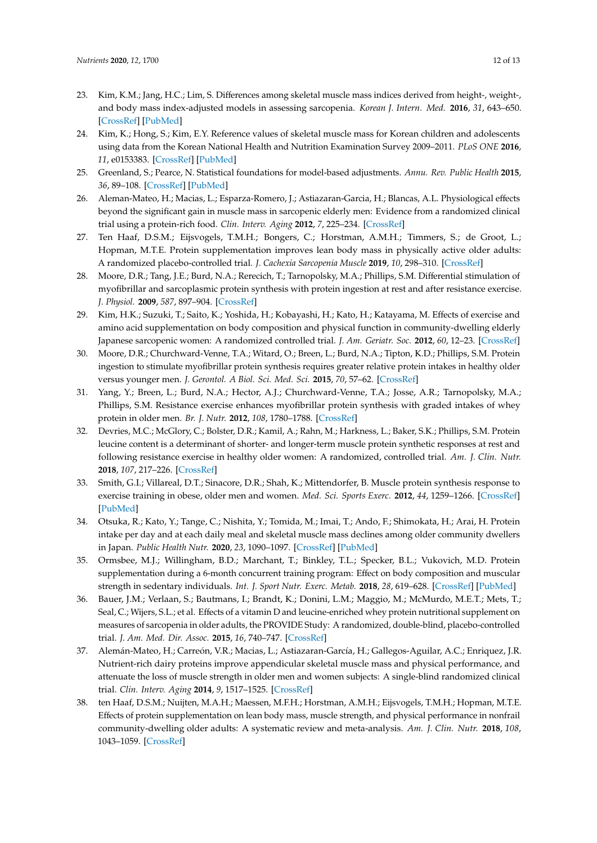- <span id="page-11-0"></span>23. Kim, K.M.; Jang, H.C.; Lim, S. Differences among skeletal muscle mass indices derived from height-, weight-, and body mass index-adjusted models in assessing sarcopenia. *Korean J. Intern. Med.* **2016**, *31*, 643–650. [\[CrossRef\]](http://dx.doi.org/10.3904/kjim.2016.015) [\[PubMed\]](http://www.ncbi.nlm.nih.gov/pubmed/27334763)
- <span id="page-11-1"></span>24. Kim, K.; Hong, S.; Kim, E.Y. Reference values of skeletal muscle mass for Korean children and adolescents using data from the Korean National Health and Nutrition Examination Survey 2009–2011. *PLoS ONE* **2016**, *11*, e0153383. [\[CrossRef\]](http://dx.doi.org/10.1371/journal.pone.0153383) [\[PubMed\]](http://www.ncbi.nlm.nih.gov/pubmed/27073844)
- <span id="page-11-2"></span>25. Greenland, S.; Pearce, N. Statistical foundations for model-based adjustments. *Annu. Rev. Public Health* **2015**, *36*, 89–108. [\[CrossRef\]](http://dx.doi.org/10.1146/annurev-publhealth-031914-122559) [\[PubMed\]](http://www.ncbi.nlm.nih.gov/pubmed/25785886)
- <span id="page-11-3"></span>26. Aleman-Mateo, H.; Macias, L.; Esparza-Romero, J.; Astiazaran-Garcia, H.; Blancas, A.L. Physiological effects beyond the significant gain in muscle mass in sarcopenic elderly men: Evidence from a randomized clinical trial using a protein-rich food. *Clin. Interv. Aging* **2012**, *7*, 225–234. [\[CrossRef\]](http://dx.doi.org/10.2147/CIA.S32356)
- <span id="page-11-4"></span>27. Ten Haaf, D.S.M.; Eijsvogels, T.M.H.; Bongers, C.; Horstman, A.M.H.; Timmers, S.; de Groot, L.; Hopman, M.T.E. Protein supplementation improves lean body mass in physically active older adults: A randomized placebo-controlled trial. *J. Cachexia Sarcopenia Muscle* **2019**, *10*, 298–310. [\[CrossRef\]](http://dx.doi.org/10.1002/jcsm.12394)
- <span id="page-11-5"></span>28. Moore, D.R.; Tang, J.E.; Burd, N.A.; Rerecich, T.; Tarnopolsky, M.A.; Phillips, S.M. Differential stimulation of myofibrillar and sarcoplasmic protein synthesis with protein ingestion at rest and after resistance exercise. *J. Physiol.* **2009**, *587*, 897–904. [\[CrossRef\]](http://dx.doi.org/10.1113/jphysiol.2008.164087)
- <span id="page-11-6"></span>29. Kim, H.K.; Suzuki, T.; Saito, K.; Yoshida, H.; Kobayashi, H.; Kato, H.; Katayama, M. Effects of exercise and amino acid supplementation on body composition and physical function in community-dwelling elderly Japanese sarcopenic women: A randomized controlled trial. *J. Am. Geriatr. Soc.* **2012**, *60*, 12–23. [\[CrossRef\]](http://dx.doi.org/10.1111/j.1532-5415.2011.03776.x)
- <span id="page-11-7"></span>30. Moore, D.R.; Churchward-Venne, T.A.; Witard, O.; Breen, L.; Burd, N.A.; Tipton, K.D.; Phillips, S.M. Protein ingestion to stimulate myofibrillar protein synthesis requires greater relative protein intakes in healthy older versus younger men. *J. Gerontol. A Biol. Sci. Med. Sci.* **2015**, *70*, 57–62. [\[CrossRef\]](http://dx.doi.org/10.1093/gerona/glu103)
- <span id="page-11-8"></span>31. Yang, Y.; Breen, L.; Burd, N.A.; Hector, A.J.; Churchward-Venne, T.A.; Josse, A.R.; Tarnopolsky, M.A.; Phillips, S.M. Resistance exercise enhances myofibrillar protein synthesis with graded intakes of whey protein in older men. *Br. J. Nutr.* **2012**, *108*, 1780–1788. [\[CrossRef\]](http://dx.doi.org/10.1017/S0007114511007422)
- <span id="page-11-9"></span>32. Devries, M.C.; McGlory, C.; Bolster, D.R.; Kamil, A.; Rahn, M.; Harkness, L.; Baker, S.K.; Phillips, S.M. Protein leucine content is a determinant of shorter- and longer-term muscle protein synthetic responses at rest and following resistance exercise in healthy older women: A randomized, controlled trial. *Am. J. Clin. Nutr.* **2018**, *107*, 217–226. [\[CrossRef\]](http://dx.doi.org/10.1093/ajcn/nqx028)
- <span id="page-11-10"></span>33. Smith, G.I.; Villareal, D.T.; Sinacore, D.R.; Shah, K.; Mittendorfer, B. Muscle protein synthesis response to exercise training in obese, older men and women. *Med. Sci. Sports Exerc.* **2012**, *44*, 1259–1266. [\[CrossRef\]](http://dx.doi.org/10.1249/MSS.0b013e3182496a41) [\[PubMed\]](http://www.ncbi.nlm.nih.gov/pubmed/22246218)
- <span id="page-11-11"></span>34. Otsuka, R.; Kato, Y.; Tange, C.; Nishita, Y.; Tomida, M.; Imai, T.; Ando, F.; Shimokata, H.; Arai, H. Protein intake per day and at each daily meal and skeletal muscle mass declines among older community dwellers in Japan. *Public Health Nutr.* **2020**, *23*, 1090–1097. [\[CrossRef\]](http://dx.doi.org/10.1017/S1368980019002921) [\[PubMed\]](http://www.ncbi.nlm.nih.gov/pubmed/31608843)
- <span id="page-11-12"></span>35. Ormsbee, M.J.; Willingham, B.D.; Marchant, T.; Binkley, T.L.; Specker, B.L.; Vukovich, M.D. Protein supplementation during a 6-month concurrent training program: Effect on body composition and muscular strength in sedentary individuals. *Int. J. Sport Nutr. Exerc. Metab.* **2018**, *28*, 619–628. [\[CrossRef\]](http://dx.doi.org/10.1123/ijsnem.2018-0036) [\[PubMed\]](http://www.ncbi.nlm.nih.gov/pubmed/29485324)
- <span id="page-11-13"></span>36. Bauer, J.M.; Verlaan, S.; Bautmans, I.; Brandt, K.; Donini, L.M.; Maggio, M.; McMurdo, M.E.T.; Mets, T.; Seal, C.; Wijers, S.L.; et al. Effects of a vitamin D and leucine-enriched whey protein nutritional supplement on measures of sarcopenia in older adults, the PROVIDE Study: A randomized, double-blind, placebo-controlled trial. *J. Am. Med. Dir. Assoc.* **2015**, *16*, 740–747. [\[CrossRef\]](http://dx.doi.org/10.1016/j.jamda.2015.05.021)
- <span id="page-11-14"></span>37. Alemán-Mateo, H.; Carreón, V.R.; Macias, L.; Astiazaran-García, H.; Gallegos-Aguilar, A.C.; Enriquez, J.R. Nutrient-rich dairy proteins improve appendicular skeletal muscle mass and physical performance, and attenuate the loss of muscle strength in older men and women subjects: A single-blind randomized clinical trial. *Clin. Interv. Aging* **2014**, *9*, 1517–1525. [\[CrossRef\]](http://dx.doi.org/10.2147/CIA.S67449)
- <span id="page-11-15"></span>38. ten Haaf, D.S.M.; Nuijten, M.A.H.; Maessen, M.F.H.; Horstman, A.M.H.; Eijsvogels, T.M.H.; Hopman, M.T.E. Effects of protein supplementation on lean body mass, muscle strength, and physical performance in nonfrail community-dwelling older adults: A systematic review and meta-analysis. *Am. J. Clin. Nutr.* **2018**, *108*, 1043–1059. [\[CrossRef\]](http://dx.doi.org/10.1093/ajcn/nqy192)